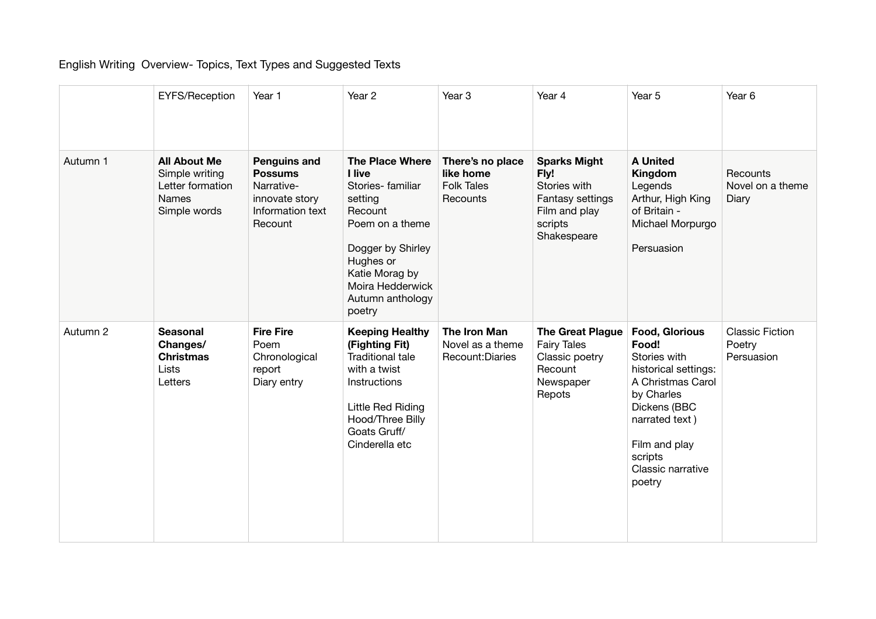## English Writing Overview- Topics, Text Types and Suggested Texts

|          | <b>EYFS/Reception</b>                                                              | Year 1                                                                                               | Year 2                                                                                                                                                                                              | Year 3                                                         | Year 4                                                                                                     | Year 5                                                                                                                                                                                                 | Year <sub>6</sub>                              |
|----------|------------------------------------------------------------------------------------|------------------------------------------------------------------------------------------------------|-----------------------------------------------------------------------------------------------------------------------------------------------------------------------------------------------------|----------------------------------------------------------------|------------------------------------------------------------------------------------------------------------|--------------------------------------------------------------------------------------------------------------------------------------------------------------------------------------------------------|------------------------------------------------|
| Autumn 1 | <b>All About Me</b><br>Simple writing<br>Letter formation<br>Names<br>Simple words | <b>Penguins and</b><br><b>Possums</b><br>Narrative-<br>innovate story<br>Information text<br>Recount | <b>The Place Where</b><br>I live<br>Stories-familiar<br>setting<br>Recount<br>Poem on a theme<br>Dogger by Shirley<br>Hughes or<br>Katie Morag by<br>Moira Hedderwick<br>Autumn anthology<br>poetry | There's no place<br>like home<br><b>Folk Tales</b><br>Recounts | <b>Sparks Might</b><br>Fly!<br>Stories with<br>Fantasy settings<br>Film and play<br>scripts<br>Shakespeare | <b>A United</b><br>Kingdom<br>Legends<br>Arthur, High King<br>of Britain -<br>Michael Morpurgo<br>Persuasion                                                                                           | Recounts<br>Novel on a theme<br>Diary          |
| Autumn 2 | <b>Seasonal</b><br>Changes/<br><b>Christmas</b><br>Lists<br>Letters                | <b>Fire Fire</b><br>Poem<br>Chronological<br>report<br>Diary entry                                   | <b>Keeping Healthy</b><br>(Fighting Fit)<br><b>Traditional tale</b><br>with a twist<br>Instructions<br>Little Red Riding<br>Hood/Three Billy<br>Goats Gruff/<br>Cinderella etc                      | The Iron Man<br>Novel as a theme<br>Recount: Diaries           | <b>The Great Plague</b><br><b>Fairy Tales</b><br>Classic poetry<br>Recount<br>Newspaper<br>Repots          | <b>Food, Glorious</b><br>Food!<br>Stories with<br>historical settings:<br>A Christmas Carol<br>by Charles<br>Dickens (BBC<br>narrated text)<br>Film and play<br>scripts<br>Classic narrative<br>poetry | <b>Classic Fiction</b><br>Poetry<br>Persuasion |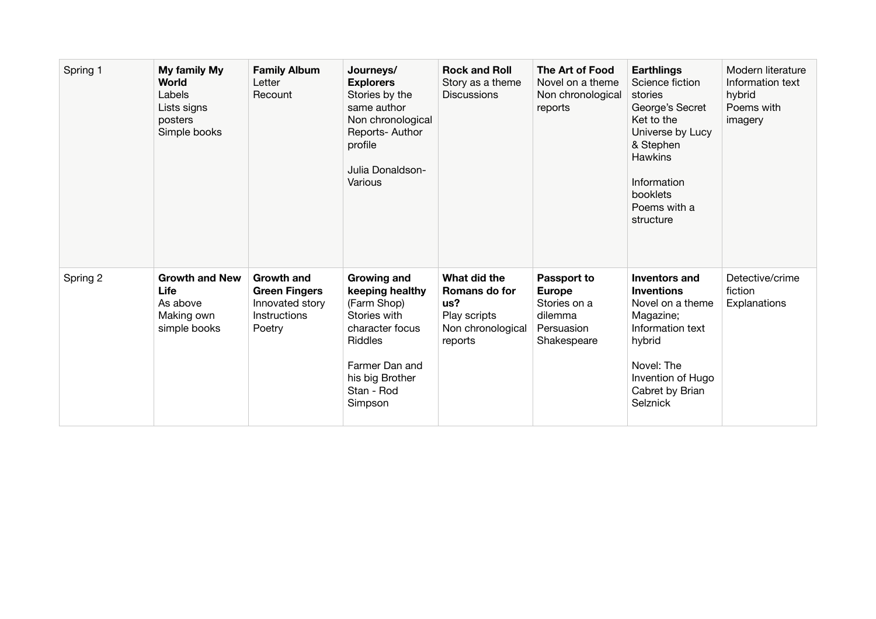| Spring 1 | My family My<br>World<br>Labels<br>Lists signs<br>posters<br>Simple books | <b>Family Album</b><br>Letter<br>Recount                                               | Journeys/<br><b>Explorers</b><br>Stories by the<br>same author<br>Non chronological<br>Reports-Author<br>profile<br>Julia Donaldson-<br>Various                  | <b>Rock and Roll</b><br>Story as a theme<br><b>Discussions</b>                       | The Art of Food<br>Novel on a theme<br>Non chronological<br>reports                  | <b>Earthlings</b><br>Science fiction<br>stories<br>George's Secret<br>Ket to the<br>Universe by Lucy<br>& Stephen<br><b>Hawkins</b><br>Information<br>booklets<br>Poems with a<br>structure | Modern literature<br>Information text<br>hybrid<br>Poems with<br>imagery |
|----------|---------------------------------------------------------------------------|----------------------------------------------------------------------------------------|------------------------------------------------------------------------------------------------------------------------------------------------------------------|--------------------------------------------------------------------------------------|--------------------------------------------------------------------------------------|---------------------------------------------------------------------------------------------------------------------------------------------------------------------------------------------|--------------------------------------------------------------------------|
| Spring 2 | <b>Growth and New</b><br>Life<br>As above<br>Making own<br>simple books   | <b>Growth and</b><br><b>Green Fingers</b><br>Innovated story<br>Instructions<br>Poetry | <b>Growing and</b><br>keeping healthy<br>(Farm Shop)<br>Stories with<br>character focus<br>Riddles<br>Farmer Dan and<br>his big Brother<br>Stan - Rod<br>Simpson | What did the<br>Romans do for<br>us?<br>Play scripts<br>Non chronological<br>reports | Passport to<br><b>Europe</b><br>Stories on a<br>dilemma<br>Persuasion<br>Shakespeare | Inventors and<br><b>Inventions</b><br>Novel on a theme<br>Magazine;<br>Information text<br>hybrid<br>Novel: The<br>Invention of Hugo<br>Cabret by Brian<br>Selznick                         | Detective/crime<br>fiction<br>Explanations                               |